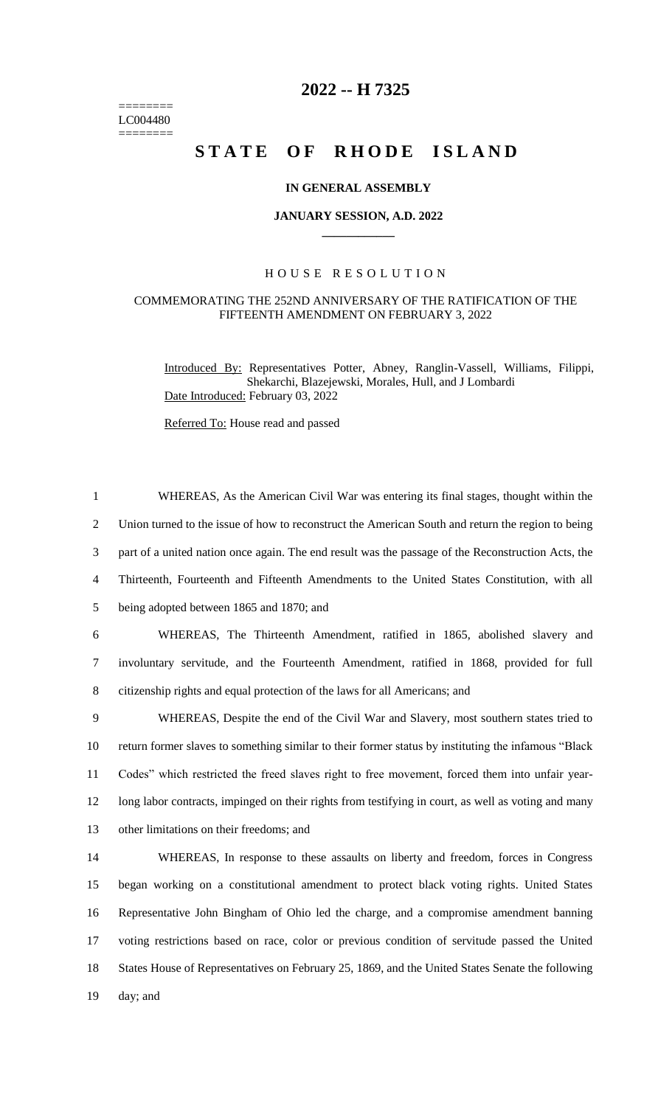======== LC004480 ========

# **2022 -- H 7325**

# STATE OF RHODE ISLAND

## **IN GENERAL ASSEMBLY**

#### **JANUARY SESSION, A.D. 2022 \_\_\_\_\_\_\_\_\_\_\_\_**

### H O U S E R E S O L U T I O N

#### COMMEMORATING THE 252ND ANNIVERSARY OF THE RATIFICATION OF THE FIFTEENTH AMENDMENT ON FEBRUARY 3, 2022

1 WHEREAS, As the American Civil War was entering its final stages, thought within the

Introduced By: Representatives Potter, Abney, Ranglin-Vassell, Williams, Filippi, Shekarchi, Blazejewski, Morales, Hull, and J Lombardi Date Introduced: February 03, 2022

Referred To: House read and passed

 Union turned to the issue of how to reconstruct the American South and return the region to being part of a united nation once again. The end result was the passage of the Reconstruction Acts, the Thirteenth, Fourteenth and Fifteenth Amendments to the United States Constitution, with all being adopted between 1865 and 1870; and WHEREAS, The Thirteenth Amendment, ratified in 1865, abolished slavery and involuntary servitude, and the Fourteenth Amendment, ratified in 1868, provided for full citizenship rights and equal protection of the laws for all Americans; and WHEREAS, Despite the end of the Civil War and Slavery, most southern states tried to return former slaves to something similar to their former status by instituting the infamous "Black Codes" which restricted the freed slaves right to free movement, forced them into unfair year- long labor contracts, impinged on their rights from testifying in court, as well as voting and many other limitations on their freedoms; and WHEREAS, In response to these assaults on liberty and freedom, forces in Congress began working on a constitutional amendment to protect black voting rights. United States Representative John Bingham of Ohio led the charge, and a compromise amendment banning voting restrictions based on race, color or previous condition of servitude passed the United States House of Representatives on February 25, 1869, and the United States Senate the following 19 day; and